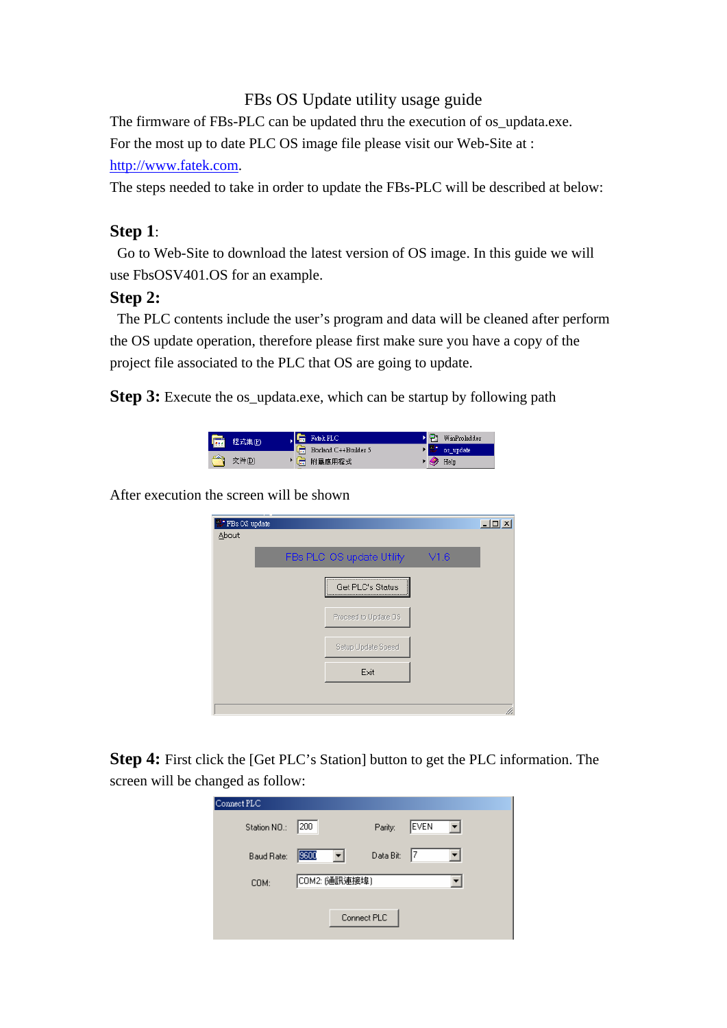## FBs OS Update utility usage guide

The firmware of FBs-PLC can be updated thru the execution of os\_updata.exe. For the most up to date PLC OS image file please visit our Web-Site at : http://www.fatek.com.

The steps needed to take in order to update the FBs-PLC will be described at below:

#### **Step 1**:

 Go to Web-Site to download the latest version of OS image. In this guide we will use FbsOSV401.OS for an example.

#### **Step 2:**

 The PLC contents include the user's program and data will be cleaned after perform the OS update operation, therefore please first make sure you have a copy of the project file associated to the PLC that OS are going to update.

**Step 3:** Execute the os\_updata.exe, which can be startup by following path

| 程式集(P)<br><b>Listen</b> | Fatek PLC            | WinProladder |
|-------------------------|----------------------|--------------|
|                         | Borland C++Builder 5 | os_update    |
| ZAN K<br>文件(D)          | 【宗 附屬應用程式            | Help         |

After execution the screen will be shown

| FBs OS update |                           |      | $  $ $\Box$ $\times$ $ $ |
|---------------|---------------------------|------|--------------------------|
| About         |                           |      |                          |
|               | FBs PLC OS update Utility | V1.6 |                          |
|               | Get PLC's Status          |      |                          |
|               | Proceed to Update OS      |      |                          |
|               | Setup Update Speed        |      |                          |
|               | Exit                      |      |                          |
|               |                           |      |                          |
|               |                           |      |                          |

**Step 4:** First click the [Get PLC's Station] button to get the PLC information. The screen will be changed as follow:

| Connect PLC  |               |             |      |  |
|--------------|---------------|-------------|------|--|
| Station NO.: | 200           | Parity:     | EVEN |  |
| Baud Rate:   | 9600<br>▾     | Data Bit:   | 17   |  |
| COM:         | COM2: (通訊連接埠) |             |      |  |
|              |               |             |      |  |
|              |               | Connect PLC |      |  |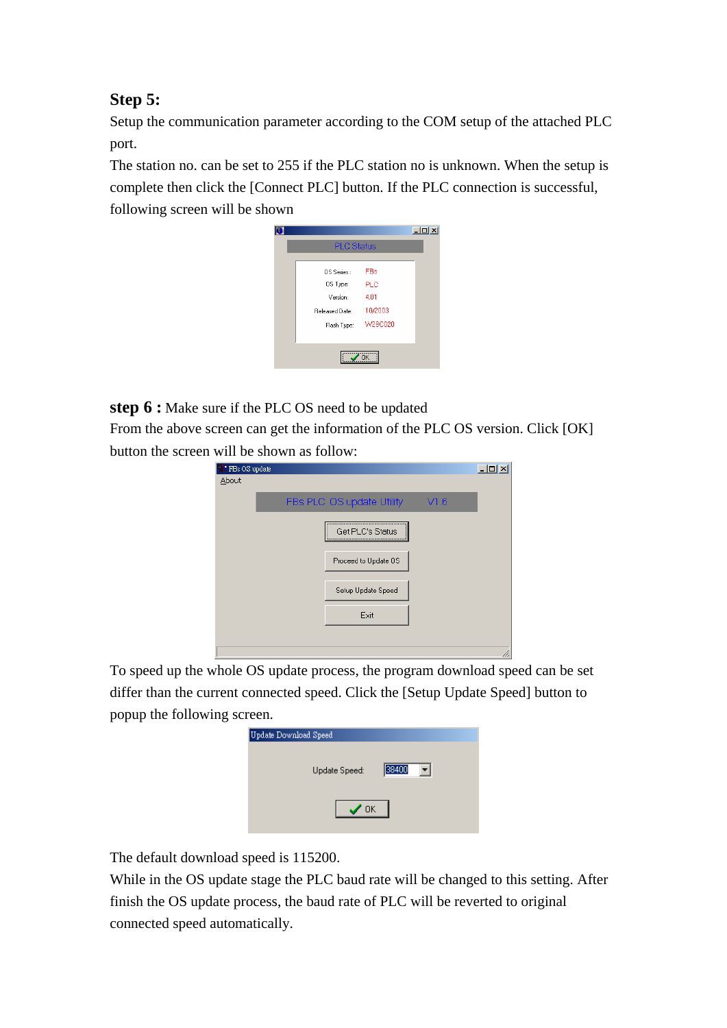# **Step 5:**

Setup the communication parameter according to the COM setup of the attached PLC port.

The station no. can be set to 255 if the PLC station no is unknown. When the setup is complete then click the [Connect PLC] button. If the PLC connection is successful, following screen will be shown



**step 6 :** Make sure if the PLC OS need to be updated

From the above screen can get the information of the PLC OS version. Click [OK] button the screen will be shown as follow:

| FBs OS update<br>About |                           |      |  |
|------------------------|---------------------------|------|--|
|                        | FBs PLC OS update Utility | V1.6 |  |
|                        | Get PLC's Status          |      |  |
|                        | Proceed to Update OS      |      |  |
|                        | Setup Update Speed        |      |  |
|                        | Exit                      |      |  |
|                        |                           |      |  |

To speed up the whole OS update process, the program download speed can be set differ than the current connected speed. Click the [Setup Update Speed] button to popup the following screen.

| Update Download Speed |       |
|-----------------------|-------|
| Update Speed:         | 38400 |
| $\sqrt{a}$            |       |

The default download speed is 115200.

While in the OS update stage the PLC baud rate will be changed to this setting. After finish the OS update process, the baud rate of PLC will be reverted to original connected speed automatically.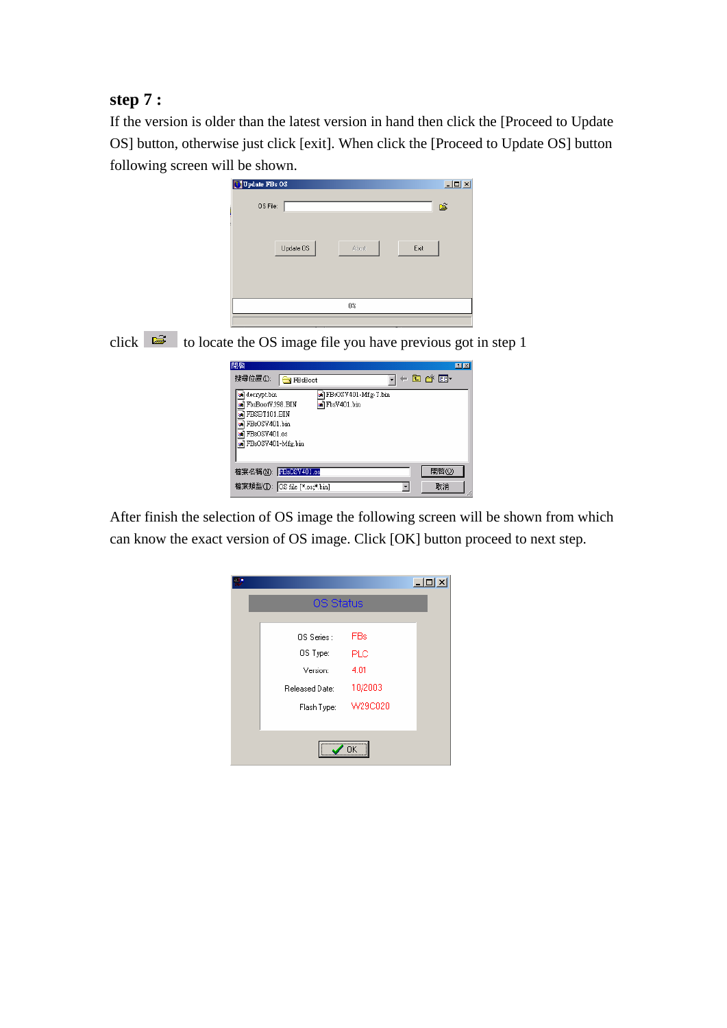## **step 7 :**

If the version is older than the latest version in hand then click the [Proceed to Update OS] button, otherwise just click [exit]. When click the [Proceed to Update OS] button following screen will be shown.

| Update FBs OS              | $\Box$ D $\times$ |
|----------------------------|-------------------|
| OS File:                   | 匾                 |
|                            |                   |
| Update OS<br>Exit<br>Abort |                   |
|                            |                   |
|                            |                   |
|                            |                   |
| $0\%$                      |                   |

click  $\boxed{\bullet}$  to locate the OS image file you have previous got in step 1

| 驅啓                                                                                                                     |                 |                                          |   |       | $\blacksquare$ |
|------------------------------------------------------------------------------------------------------------------------|-----------------|------------------------------------------|---|-------|----------------|
| 搜尋位置(I):                                                                                                               | <b>FB</b> sBoot |                                          |   | ←白び囲・ |                |
| al decrypt.bin<br>an FbsBootV398.BIN<br>al FBSBT101.BIN<br>al FBsOSV401.bin<br>an FBsOSV401.os<br>al FBsOSV401-Mfg.bin |                 | al FBsOSV401-Mfg-T.bin<br>al FbsV401.bin |   |       |                |
| 檔案名稱(N): FBsOSV401.os                                                                                                  |                 |                                          |   | 開啓(0) |                |
| 檔案類型(I): OS file [*.os;*.bin]                                                                                          |                 |                                          | ٠ | 取消    |                |

After finish the selection of OS image the following screen will be shown from which can know the exact version of OS image. Click [OK] button proceed to next step.

|                  |            | <b>FIE</b> |
|------------------|------------|------------|
| <b>OS Status</b> |            |            |
|                  |            |            |
| OS Series:       | <b>FBs</b> |            |
| OS Type:         | <b>PLC</b> |            |
| Version:         | 4.01       |            |
| Released Date:   | 10/2003    |            |
| Flash Type:      | W29C020    |            |
|                  |            |            |
|                  | ΠK         |            |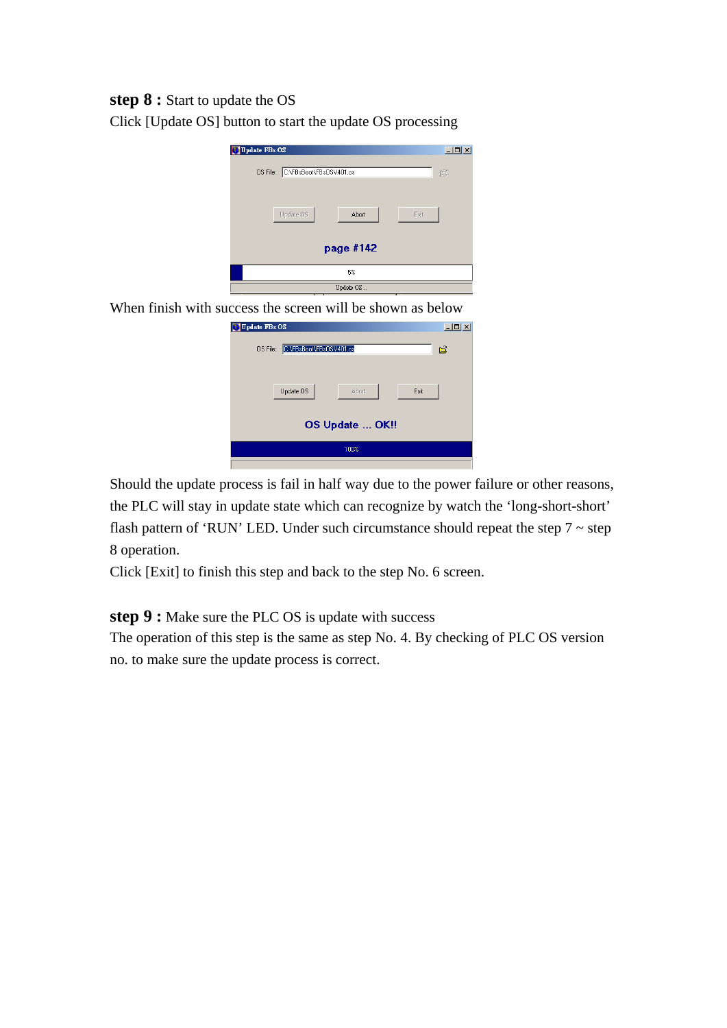#### **step 8 :** Start to update the OS

Click [Update OS] button to start the update OS processing

| <b>Update FBs OS</b><br>G |                                      |           |      | $ \Box$ $\times$ |
|---------------------------|--------------------------------------|-----------|------|------------------|
| OS File:                  | C:\FBsBoot\FBsOSV401.os<br>Update 0S | Abort     | Exit | É                |
|                           |                                      | page #142 |      |                  |
|                           |                                      | 5%        |      |                  |
|                           |                                      | Update OS |      |                  |
|                           | ┱                                    |           |      |                  |

When finish with success the screen will be shown as below

| <b>Update FBs OS</b><br>r           | $  $ o $ $ $\times$ $ $ |
|-------------------------------------|-------------------------|
| C:\FBsBoot\FBsOSV401.os<br>OS File: | B                       |
|                                     |                         |
| Update OS<br>Exit<br><b>Abort</b>   |                         |
| OS Update  OK !!                    |                         |
| 100%                                |                         |
|                                     |                         |

Should the update process is fail in half way due to the power failure or other reasons, the PLC will stay in update state which can recognize by watch the 'long-short-short' flash pattern of 'RUN' LED. Under such circumstance should repeat the step  $7 \sim$  step 8 operation.

Click [Exit] to finish this step and back to the step No. 6 screen.

### **step 9 :** Make sure the PLC OS is update with success

The operation of this step is the same as step No. 4. By checking of PLC OS version no. to make sure the update process is correct.